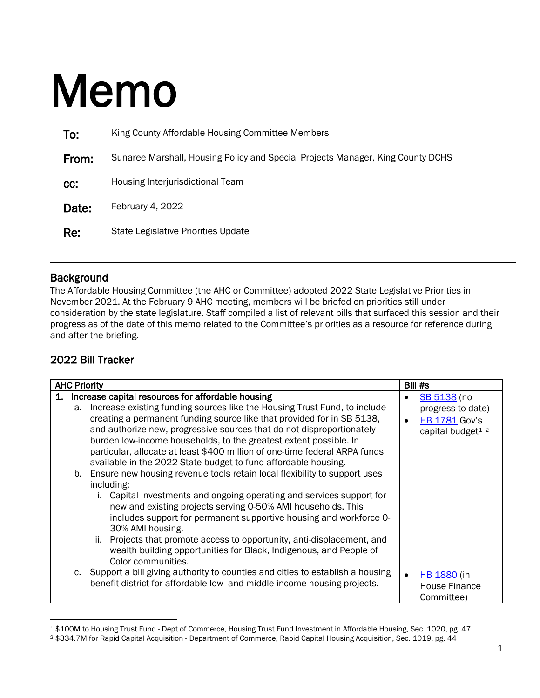## Memo

| To:   | King County Affordable Housing Committee Members                                |
|-------|---------------------------------------------------------------------------------|
| From: | Sunaree Marshall, Housing Policy and Special Projects Manager, King County DCHS |
| CC:   | Housing Interjurisdictional Team                                                |
| Date: | February 4, 2022                                                                |
| Re:   | <b>State Legislative Priorities Update</b>                                      |
|       |                                                                                 |

## **Background**

The Affordable Housing Committee (the AHC or Committee) adopted 2022 State Legislative Priorities in November 2021. At the February 9 AHC meeting, members will be briefed on priorities still under consideration by the state legislature. Staff compiled a list of relevant bills that surfaced this session and their progress as of the date of this memo related to the Committee's priorities as a resource for reference during and after the briefing.

## 2022 Bill Tracker

| <b>AHC Priority</b> |    |                                                                                                                                                                                                                                                                                                                                                                                                                                                                                                                                                                                        |  | Bill #s                                                                                              |  |  |  |  |
|---------------------|----|----------------------------------------------------------------------------------------------------------------------------------------------------------------------------------------------------------------------------------------------------------------------------------------------------------------------------------------------------------------------------------------------------------------------------------------------------------------------------------------------------------------------------------------------------------------------------------------|--|------------------------------------------------------------------------------------------------------|--|--|--|--|
|                     | a. | Increase capital resources for affordable housing<br>Increase existing funding sources like the Housing Trust Fund, to include<br>creating a permanent funding source like that provided for in SB 5138,<br>and authorize new, progressive sources that do not disproportionately<br>burden low-income households, to the greatest extent possible. In<br>particular, allocate at least \$400 million of one-time federal ARPA funds<br>available in the 2022 State budget to fund affordable housing.<br>b. Ensure new housing revenue tools retain local flexibility to support uses |  | SB 5138 (no<br>progress to date)<br><b>HB 1781 Gov's</b><br>capital budget <sup>1</sup> <sup>2</sup> |  |  |  |  |
|                     |    | including:<br>Capital investments and ongoing operating and services support for<br>new and existing projects serving 0-50% AMI households. This<br>includes support for permanent supportive housing and workforce O-<br>30% AMI housing.<br>ii. Projects that promote access to opportunity, anti-displacement, and<br>wealth building opportunities for Black, Indigenous, and People of<br>Color communities.                                                                                                                                                                      |  |                                                                                                      |  |  |  |  |
|                     |    | c. Support a bill giving authority to counties and cities to establish a housing<br>benefit district for affordable low- and middle-income housing projects.                                                                                                                                                                                                                                                                                                                                                                                                                           |  | <b>HB 1880</b> (in<br>House Finance<br>Committee)                                                    |  |  |  |  |

<span id="page-0-0"></span><sup>1</sup> \$100M to Housing Trust Fund - Dept of Commerce, Housing Trust Fund Investment in Affordable Housing, Sec. 1020, pg. 47

<span id="page-0-1"></span><sup>2</sup> \$334.7M for Rapid Capital Acquisition - Department of Commerce, Rapid Capital Housing Acquisition, Sec. 1019, pg. 44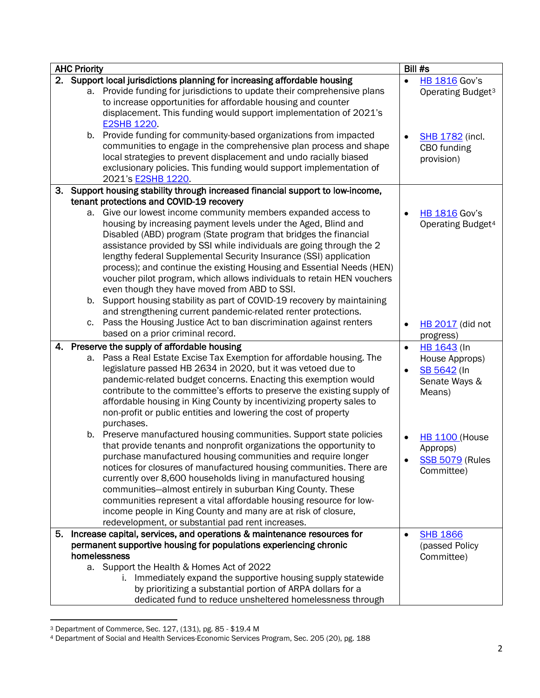| <b>AHC Priority</b> |    |                                                                                                                                                                                                                                                                                                                                                                                                                                                                                                                                                                                                                                                                                                                                                |                        | Bill #s                                                                   |  |
|---------------------|----|------------------------------------------------------------------------------------------------------------------------------------------------------------------------------------------------------------------------------------------------------------------------------------------------------------------------------------------------------------------------------------------------------------------------------------------------------------------------------------------------------------------------------------------------------------------------------------------------------------------------------------------------------------------------------------------------------------------------------------------------|------------------------|---------------------------------------------------------------------------|--|
|                     |    | 2. Support local jurisdictions planning for increasing affordable housing<br>a. Provide funding for jurisdictions to update their comprehensive plans<br>to increase opportunities for affordable housing and counter<br>displacement. This funding would support implementation of 2021's                                                                                                                                                                                                                                                                                                                                                                                                                                                     | $\bullet$              | <b>HB 1816 Gov's</b><br>Operating Budget <sup>3</sup>                     |  |
|                     |    | <b>E2SHB 1220.</b><br>b. Provide funding for community-based organizations from impacted<br>communities to engage in the comprehensive plan process and shape<br>local strategies to prevent displacement and undo racially biased<br>exclusionary policies. This funding would support implementation of<br>2021's E2SHB 1220.                                                                                                                                                                                                                                                                                                                                                                                                                |                        | <b>SHB 1782</b> (incl.<br>CBO funding<br>provision)                       |  |
| 3.                  |    | Support housing stability through increased financial support to low-income,                                                                                                                                                                                                                                                                                                                                                                                                                                                                                                                                                                                                                                                                   |                        |                                                                           |  |
|                     |    | tenant protections and COVID-19 recovery<br>a. Give our lowest income community members expanded access to<br>housing by increasing payment levels under the Aged, Blind and<br>Disabled (ABD) program (State program that bridges the financial<br>assistance provided by SSI while individuals are going through the 2<br>lengthy federal Supplemental Security Insurance (SSI) application<br>process); and continue the existing Housing and Essential Needs (HEN)<br>voucher pilot program, which allows individuals to retain HEN vouchers<br>even though they have moved from ABD to SSI.<br>b. Support housing stability as part of COVID-19 recovery by maintaining<br>and strengthening current pandemic-related renter protections. |                        | <b>HB 1816 Gov's</b><br>Operating Budget <sup>4</sup>                     |  |
|                     | C. | Pass the Housing Justice Act to ban discrimination against renters<br>based on a prior criminal record.                                                                                                                                                                                                                                                                                                                                                                                                                                                                                                                                                                                                                                        | $\bullet$              | <b>HB 2017</b> (did not<br>progress)                                      |  |
|                     | а. | 4. Preserve the supply of affordable housing<br>Pass a Real Estate Excise Tax Exemption for affordable housing. The<br>legislature passed HB 2634 in 2020, but it was vetoed due to<br>pandemic-related budget concerns. Enacting this exemption would<br>contribute to the committee's efforts to preserve the existing supply of<br>affordable housing in King County by incentivizing property sales to<br>non-profit or public entities and lowering the cost of property<br>purchases.                                                                                                                                                                                                                                                    | $\bullet$<br>$\bullet$ | HB 1643 (In<br>House Approps)<br>SB 5642 (In<br>Senate Ways &<br>Means)   |  |
|                     |    | b. Preserve manufactured housing communities. Support state policies<br>that provide tenants and nonprofit organizations the opportunity to<br>purchase manufactured housing communities and require longer<br>notices for closures of manufactured housing communities. There are<br>currently over 8,600 households living in manufactured housing<br>communities-almost entirely in suburban King County. These<br>communities represent a vital affordable housing resource for low-<br>income people in King County and many are at risk of closure,<br>redevelopment, or substantial pad rent increases.                                                                                                                                 |                        | <b>HB 1100 (House</b><br>Approps)<br><b>SSB 5079 (Rules</b><br>Committee) |  |
| 5.                  |    | Increase capital, services, and operations & maintenance resources for                                                                                                                                                                                                                                                                                                                                                                                                                                                                                                                                                                                                                                                                         | $\bullet$              | <b>SHB 1866</b>                                                           |  |
|                     |    | permanent supportive housing for populations experiencing chronic<br>homelessness<br>a. Support the Health & Homes Act of 2022<br>i. Immediately expand the supportive housing supply statewide<br>by prioritizing a substantial portion of ARPA dollars for a<br>dedicated fund to reduce unsheltered homelessness through                                                                                                                                                                                                                                                                                                                                                                                                                    |                        | (passed Policy<br>Committee)                                              |  |

<span id="page-1-0"></span><sup>3</sup> Department of Commerce, Sec. 127, (131), pg. 85 - \$19.4 M

<span id="page-1-1"></span><sup>4</sup> Department of Social and Health Services-Economic Services Program, Sec. 205 (20), pg. 188